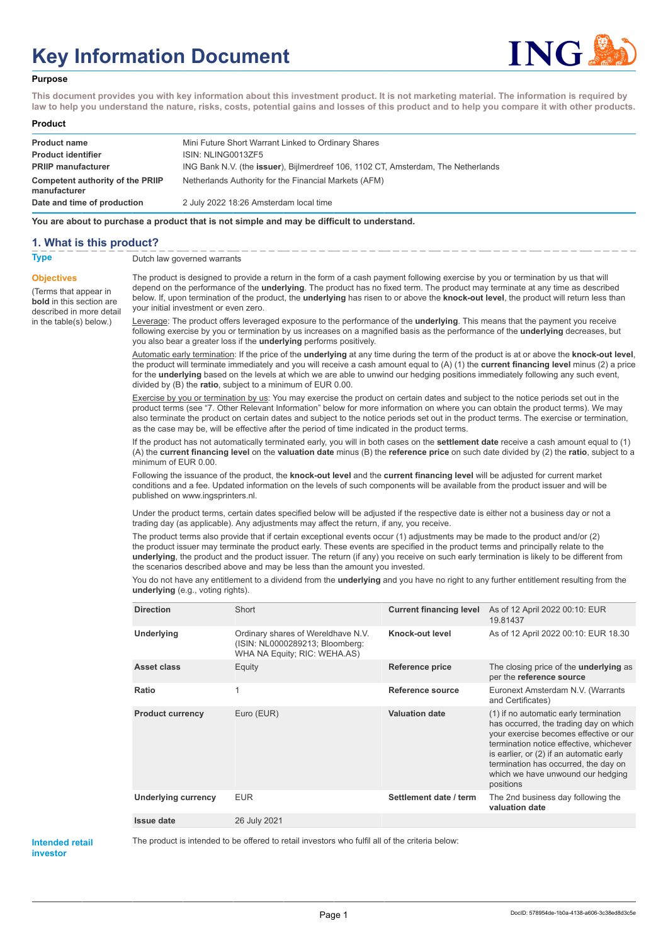# **Key Information Document**



#### **Purpose**

**This document provides you with key information about this investment product. It is not marketing material. The information is required by law to help you understand the nature, risks, costs, potential gains and losses of this product and to help you compare it with other products.**

#### **Product**

| <b>Product name</b>                              | Mini Future Short Warrant Linked to Ordinary Shares                                       |
|--------------------------------------------------|-------------------------------------------------------------------------------------------|
| <b>Product identifier</b>                        | ISIN: NLING0013ZF5                                                                        |
| <b>PRIIP manufacturer</b>                        | ING Bank N.V. (the <b>issuer</b> ), Bijlmerdreef 106, 1102 CT, Amsterdam, The Netherlands |
| Competent authority of the PRIIP<br>manufacturer | Netherlands Authority for the Financial Markets (AFM)                                     |
| Date and time of production                      | 2 July 2022 18:26 Amsterdam local time                                                    |

**You are about to purchase a product that is not simple and may be difficult to understand.**

### **1. What is this product?**

**Objectives**

(Terms that appear in **bold** in this section are

in the table(s) below.)

**Type** Dutch law governed warrants

described in more detail The product is designed to provide a return in the form of a cash payment following exercise by you or termination by us that will depend on the performance of the **underlying**. The product has no fixed term. The product may terminate at any time as described below. If, upon termination of the product, the **underlying** has risen to or above the **knock-out level**, the product will return less than your initial investment or even zero.

> Leverage: The product offers leveraged exposure to the performance of the **underlying**. This means that the payment you receive following exercise by you or termination by us increases on a magnified basis as the performance of the **underlying** decreases, but you also bear a greater loss if the **underlying** performs positively.

Automatic early termination: If the price of the **underlying** at any time during the term of the product is at or above the **knock-out level**, the product will terminate immediately and you will receive a cash amount equal to (A) (1) the **current financing level** minus (2) a price for the **underlying** based on the levels at which we are able to unwind our hedging positions immediately following any such event, divided by (B) the **ratio**, subject to a minimum of EUR 0.00.

Exercise by you or termination by us: You may exercise the product on certain dates and subject to the notice periods set out in the product terms (see "7. Other Relevant Information" below for more information on where you can obtain the product terms). We may also terminate the product on certain dates and subject to the notice periods set out in the product terms. The exercise or termination, as the case may be, will be effective after the period of time indicated in the product terms.

If the product has not automatically terminated early, you will in both cases on the **settlement date** receive a cash amount equal to (1) (A) the **current financing level** on the **valuation date** minus (B) the **reference price** on such date divided by (2) the **ratio**, subject to a minimum of EUR 0.00.

Following the issuance of the product, the **knock-out level** and the **current financing level** will be adjusted for current market conditions and a fee. Updated information on the levels of such components will be available from the product issuer and will be published on www.ingsprinters.nl.

Under the product terms, certain dates specified below will be adjusted if the respective date is either not a business day or not a trading day (as applicable). Any adjustments may affect the return, if any, you receive.

The product terms also provide that if certain exceptional events occur (1) adjustments may be made to the product and/or (2) the product issuer may terminate the product early. These events are specified in the product terms and principally relate to the **underlying**, the product and the product issuer. The return (if any) you receive on such early termination is likely to be different from the scenarios described above and may be less than the amount you invested.

You do not have any entitlement to a dividend from the **underlying** and you have no right to any further entitlement resulting from the **underlying** (e.g., voting rights).

| <b>Direction</b>           | Short                                                                                                 | <b>Current financing level</b> | As of 12 April 2022 00:10: EUR<br>19.81437                                                                                                                                                                                                                                                                 |
|----------------------------|-------------------------------------------------------------------------------------------------------|--------------------------------|------------------------------------------------------------------------------------------------------------------------------------------------------------------------------------------------------------------------------------------------------------------------------------------------------------|
| Underlying                 | Ordinary shares of Wereldhave N.V.<br>(ISIN: NL0000289213; Bloomberg:<br>WHA NA Equity; RIC: WEHA.AS) | Knock-out level                | As of 12 April 2022 00:10: EUR 18.30                                                                                                                                                                                                                                                                       |
| Asset class                | Equity                                                                                                | <b>Reference price</b>         | The closing price of the <b>underlying</b> as<br>per the reference source                                                                                                                                                                                                                                  |
| Ratio                      | 1                                                                                                     | Reference source               | Euronext Amsterdam N.V. (Warrants<br>and Certificates)                                                                                                                                                                                                                                                     |
| <b>Product currency</b>    | Euro (EUR)                                                                                            | <b>Valuation date</b>          | (1) if no automatic early termination<br>has occurred, the trading day on which<br>your exercise becomes effective or our<br>termination notice effective, whichever<br>is earlier, or (2) if an automatic early<br>termination has occurred, the day on<br>which we have unwound our hedging<br>positions |
| <b>Underlying currency</b> | <b>EUR</b>                                                                                            | Settlement date / term         | The 2nd business day following the<br>valuation date                                                                                                                                                                                                                                                       |
| <b>Issue date</b>          | 26 July 2021                                                                                          |                                |                                                                                                                                                                                                                                                                                                            |
|                            |                                                                                                       |                                |                                                                                                                                                                                                                                                                                                            |

#### **Intended retail investor**

The product is intended to be offered to retail investors who fulfil all of the criteria below:

Page 1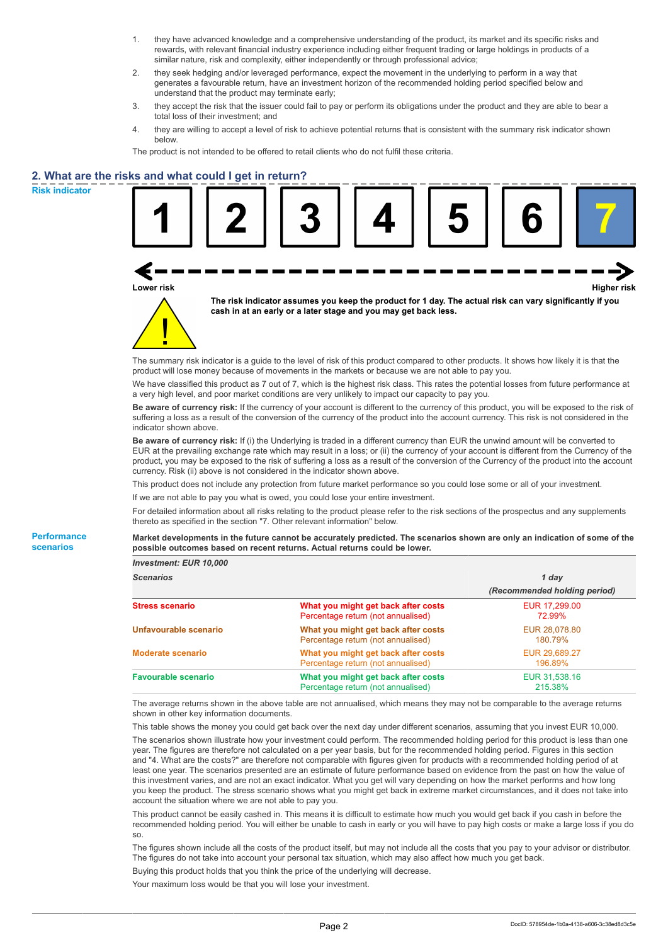- 1. they have advanced knowledge and a comprehensive understanding of the product, its market and its specific risks and rewards, with relevant financial industry experience including either frequent trading or large holdings in products of a similar nature, risk and complexity, either independently or through professional advice;
- 2. they seek hedging and/or leveraged performance, expect the movement in the underlying to perform in a way that generates a favourable return, have an investment horizon of the recommended holding period specified below and understand that the product may terminate early;
- 3. they accept the risk that the issuer could fail to pay or perform its obligations under the product and they are able to bear a total loss of their investment; and
- 4. they are willing to accept a level of risk to achieve potential returns that is consistent with the summary risk indicator shown below.

The product is not intended to be offered to retail clients who do not fulfil these criteria.

# **2. What are the risks and what could I get in return?**

**Risk indicator**

**Performance scenarios**

| s and what could I get in return? |                                                                                                                                                                                                                                                                                                                                                                                                                                                                                                            |                              |
|-----------------------------------|------------------------------------------------------------------------------------------------------------------------------------------------------------------------------------------------------------------------------------------------------------------------------------------------------------------------------------------------------------------------------------------------------------------------------------------------------------------------------------------------------------|------------------------------|
| Lower risk                        |                                                                                                                                                                                                                                                                                                                                                                                                                                                                                                            | <b>Higher risk</b>           |
|                                   | The risk indicator assumes you keep the product for 1 day. The actual risk can vary significantly if you<br>cash in at an early or a later stage and you may get back less.                                                                                                                                                                                                                                                                                                                                |                              |
|                                   | The summary risk indicator is a guide to the level of risk of this product compared to other products. It shows how likely it is that the<br>product will lose money because of movements in the markets or because we are not able to pay you.                                                                                                                                                                                                                                                            |                              |
|                                   | We have classified this product as 7 out of 7, which is the highest risk class. This rates the potential losses from future performance at<br>a very high level, and poor market conditions are very unlikely to impact our capacity to pay you.                                                                                                                                                                                                                                                           |                              |
| indicator shown above.            | Be aware of currency risk: If the currency of your account is different to the currency of this product, you will be exposed to the risk of<br>suffering a loss as a result of the conversion of the currency of the product into the account currency. This risk is not considered in the                                                                                                                                                                                                                 |                              |
|                                   | Be aware of currency risk: If (i) the Underlying is traded in a different currency than EUR the unwind amount will be converted to<br>EUR at the prevailing exchange rate which may result in a loss; or (ii) the currency of your account is different from the Currency of the<br>product, you may be exposed to the risk of suffering a loss as a result of the conversion of the Currency of the product into the account<br>currency. Risk (ii) above is not considered in the indicator shown above. |                              |
|                                   | This product does not include any protection from future market performance so you could lose some or all of your investment.                                                                                                                                                                                                                                                                                                                                                                              |                              |
|                                   | If we are not able to pay you what is owed, you could lose your entire investment.                                                                                                                                                                                                                                                                                                                                                                                                                         |                              |
|                                   | For detailed information about all risks relating to the product please refer to the risk sections of the prospectus and any supplements<br>thereto as specified in the section "7. Other relevant information" below.                                                                                                                                                                                                                                                                                     |                              |
|                                   | Market developments in the future cannot be accurately predicted. The scenarios shown are only an indication of some of the<br>possible outcomes based on recent returns. Actual returns could be lower.                                                                                                                                                                                                                                                                                                   |                              |
| Investment: EUR 10,000            |                                                                                                                                                                                                                                                                                                                                                                                                                                                                                                            |                              |
| <b>Scenarios</b>                  |                                                                                                                                                                                                                                                                                                                                                                                                                                                                                                            | 1 day                        |
|                                   |                                                                                                                                                                                                                                                                                                                                                                                                                                                                                                            | (Recommended holding period) |
| Stress scenario                   | What you might get back after costs<br>Percentage return (not annualised)                                                                                                                                                                                                                                                                                                                                                                                                                                  | EUR 17,299.00<br>72.99%      |

| <b>Stress scenario</b>     | What you might get back after costs<br>Percentage return (not annualised) | EUR 17,299.00<br>72.99%  |  |
|----------------------------|---------------------------------------------------------------------------|--------------------------|--|
| Unfavourable scenario      | What you might get back after costs<br>Percentage return (not annualised) | EUR 28,078.80<br>180.79% |  |
| <b>Moderate scenario</b>   | What you might get back after costs<br>Percentage return (not annualised) | EUR 29,689.27<br>196.89% |  |
| <b>Favourable scenario</b> | What you might get back after costs<br>Percentage return (not annualised) | EUR 31.538.16<br>215.38% |  |

The average returns shown in the above table are not annualised, which means they may not be comparable to the average returns shown in other key information documents.

This table shows the money you could get back over the next day under different scenarios, assuming that you invest EUR 10,000.

The scenarios shown illustrate how your investment could perform. The recommended holding period for this product is less than one year. The figures are therefore not calculated on a per year basis, but for the recommended holding period. Figures in this section and "4. What are the costs?" are therefore not comparable with figures given for products with a recommended holding period of at least one year. The scenarios presented are an estimate of future performance based on evidence from the past on how the value of this investment varies, and are not an exact indicator. What you get will vary depending on how the market performs and how long you keep the product. The stress scenario shows what you might get back in extreme market circumstances, and it does not take into account the situation where we are not able to pay you.

This product cannot be easily cashed in. This means it is difficult to estimate how much you would get back if you cash in before the recommended holding period. You will either be unable to cash in early or you will have to pay high costs or make a large loss if you do so.

The figures shown include all the costs of the product itself, but may not include all the costs that you pay to your advisor or distributor. The figures do not take into account your personal tax situation, which may also affect how much you get back.

Buying this product holds that you think the price of the underlying will decrease.

Your maximum loss would be that you will lose your investment.